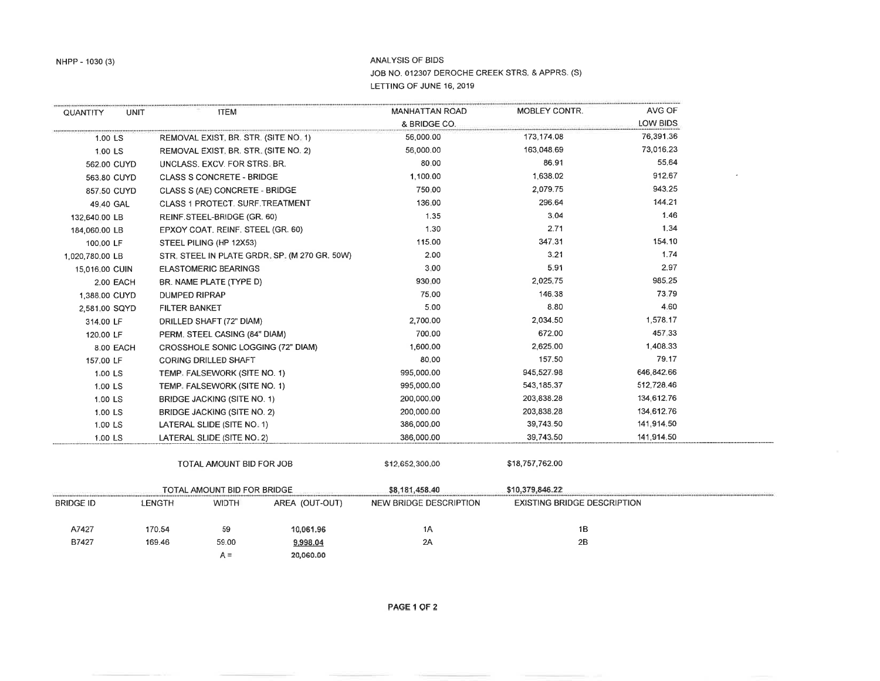## ANALYSIS OF BIDS JOB NO. 012307 DEROCHE CREEK STRS. & APPRS. (S) LETTING OF JUNE 16, 2019

| QUANTITY         | <b>UNIT</b>   |                                               | <b>ITEM</b>                          |                | <b>MANHATTAN ROAD</b>         | MOBLEY CONTR.                      | AVG OF     |
|------------------|---------------|-----------------------------------------------|--------------------------------------|----------------|-------------------------------|------------------------------------|------------|
|                  |               |                                               |                                      |                | & BRIDGE CO.                  |                                    | LOW BIDS   |
| 1.00 LS          |               |                                               | REMOVAL EXIST, BR. STR. (SITE NO. 1) |                | 56,000.00                     | 173,174.08                         | 76,391.36  |
| 1:00 LS          |               | REMOVAL EXIST, BR. STR. (SITE NO. 2)          |                                      | 56,000.00      | 163,048.69                    | 73,016.23                          |            |
| 562:00 CUYD      |               |                                               | UNCLASS. EXCV. FOR STRS. BR.         |                | 80,00                         | 86.91                              | 55.64      |
| 563,80 CUYD      |               |                                               | <b>CLASS S CONCRETE - BRIDGE</b>     |                | 1,100.00                      | 1,638.02                           | 912.67     |
| 857.50 CUYD      |               | CLASS S (AE) CONCRETE - BRIDGE                |                                      | 750,00         | 2,079.75                      | 943.25                             |            |
| 49.40 GAL        |               | <b>CLASS 1 PROTECT. SURF.TREATMENT</b>        |                                      |                | 136,00                        | 296.64                             | 144.21     |
| 132,640.00 LB    |               | REINF STEEL-BRIDGE (GR. 60)                   |                                      | 1.35           | 3.04                          | 1.46                               |            |
| 184,060.00 LB    |               | EPXOY COAT. REINF. STEEL (GR. 60)             |                                      | 1.30           | 2.71                          | 1.34                               |            |
| 100.00 LF        |               | STEEL PILING (HP 12X53)                       |                                      |                | 115.00                        | 347.31                             | 154.10     |
| 1,020,780.00 LB  |               | STR. STEEL IN PLATE GRDR, SP. (M 270 GR. 50W) |                                      |                | 2.00                          | 3.21                               | 1.74       |
| 15,016,00 CUIN   |               | <b>ELASTOMERIC BEARINGS</b>                   |                                      |                | 3.00                          | 5.91                               | 2.97       |
| 2.00 EACH        |               | BR. NAME PLATE (TYPE D)                       |                                      |                | 930.00                        | 2,025.75                           | 985.25     |
| 1,388.00 CUYD    |               | <b>DUMPED RIPRAP</b>                          |                                      |                | 75.00                         | 146.38                             | 73.79      |
|                  | 2,581.00 SQYD |                                               | <b>FILTER BANKET</b>                 |                | 5.00                          | 8.80                               | 4.60       |
| 314.00 LF        |               | DRILLED SHAFT (72" DIAM)                      |                                      |                | 2,700.00                      | 2,034.50                           | 1,578.17   |
|                  | 120.00 LF     |                                               | PERM. STEEL CASING (84" DIAM)        |                | 700.00                        | 672.00                             | 457.33     |
| 8.00 EACH        |               | CROSSHOLE SONIC LOGGING (72" DIAM)            |                                      |                | 1,600.00                      | 2,625.00                           | 1,408.33   |
| 157.00 LF        |               |                                               | <b>CORING DRILLED SHAFT</b>          |                | 80.00                         | 157.50                             | 79.17      |
| 1.00 LS          |               |                                               | TEMP, FALSEWORK (SITE NO. 1)         |                | 995,000.00                    | 945,527,98                         | 646,842.66 |
|                  | 1.00 LS       |                                               | TEMP. FALSEWORK (SITE NO. 1)         |                | 995,000.00                    | 543,185.37                         | 512,728.46 |
|                  | 1.00 LS       |                                               | BRIDGE JACKING (SITE NO. 1)          |                | 200,000.00                    | 203,838.28                         | 134,612.76 |
|                  | 1.00 LS       |                                               | <b>BRIDGE JACKING (SITE NO. 2)</b>   |                | 200,000.00                    | 203,838.28                         | 134,612.76 |
| 1.00 LS          |               | LATERAL SLIDE (SITE NO. 1)                    |                                      |                | 386,000,00                    | 39,743.50                          | 141,914.50 |
|                  | 1:00 LS       |                                               | LATERAL SLIDE (SITE NO. 2)           |                | 386,000.00                    | 39,743.50                          | 141,914.50 |
|                  |               | TOTAL AMOUNT BID FOR JOB                      |                                      |                | \$12,652,300,00               | \$18,757,762.00                    |            |
|                  |               | TOTAL AMOUNT BID FOR BRIDGE                   |                                      |                | \$8,181,458.40                | \$10,379,846.22                    |            |
| <b>BRIDGE ID</b> |               | <b>LENGTH</b>                                 | <b>WIDTH</b>                         | AREA (OUT-OUT) | <b>NEW BRIDGE DESCRIPTION</b> | <b>EXISTING BRIDGE DESCRIPTION</b> |            |
| A7427            |               | 170.54                                        | 59                                   | 10,061.96      | 1A                            | 1B                                 |            |
| B7427            |               | 169.46                                        | 59.00                                | 9,998.04       | 2A                            | 2B                                 |            |
|                  |               |                                               | $A =$                                | 20,060.00      |                               |                                    |            |